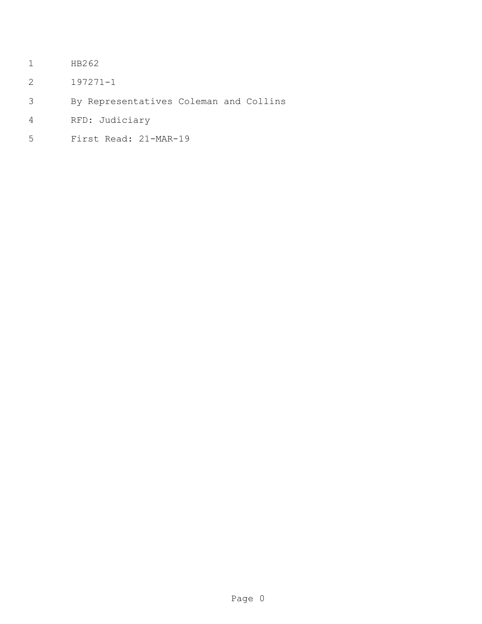- HB262
- 197271-1
- By Representatives Coleman and Collins
- RFD: Judiciary
- First Read: 21-MAR-19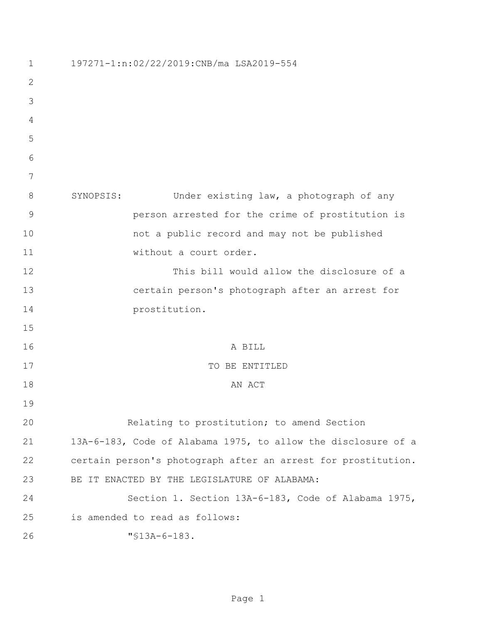| 1            | 197271-1:n:02/22/2019:CNB/ma LSA2019-554                      |
|--------------|---------------------------------------------------------------|
| $\mathbf{2}$ |                                                               |
| 3            |                                                               |
| 4            |                                                               |
| 5            |                                                               |
| 6            |                                                               |
| 7            |                                                               |
| 8            | SYNOPSIS:<br>Under existing law, a photograph of any          |
| 9            | person arrested for the crime of prostitution is              |
| 10           | not a public record and may not be published                  |
| 11           | without a court order.                                        |
| 12           | This bill would allow the disclosure of a                     |
| 13           | certain person's photograph after an arrest for               |
| 14           | prostitution.                                                 |
| 15           |                                                               |
| 16           | A BILL                                                        |
| 17           | TO BE ENTITLED                                                |
| 18           | AN ACT                                                        |
| 19           |                                                               |
| 20           | Relating to prostitution; to amend Section                    |
| 21           | 13A-6-183, Code of Alabama 1975, to allow the disclosure of a |
| 22           | certain person's photograph after an arrest for prostitution. |
| 23           | BE IT ENACTED BY THE LEGISLATURE OF ALABAMA:                  |
| 24           | Section 1. Section 13A-6-183, Code of Alabama 1975,           |
| 25           | is amended to read as follows:                                |
| 26           | $"$ \$13A-6-183.                                              |